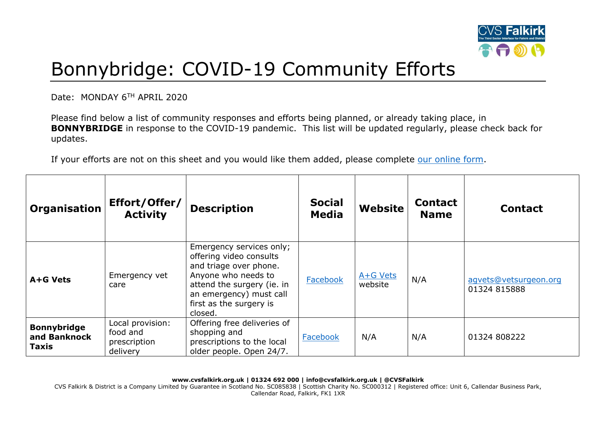

## Bonnybridge: COVID-19 Community Efforts

Date: MONDAY 6TH APRIL 2020

Please find below a list of community responses and efforts being planned, or already taking place, in **BONNYBRIDGE** in response to the COVID-19 pandemic. This list will be updated regularly, please check back for updates.

If your efforts are not on this sheet and you would like them added, please complete [our online form.](https://forms.office.com/Pages/ResponsePage.aspx?id=6VEZaLCW4EefTnjqs1GaupRwm5MIeS1HoQIx_4VQsBJUODFFNjQ4S0YzN0tIODdPOUJWTTJFNkg2QS4u)

| Organisation                                       | Effort/Offer/<br><b>Activity</b>                         | <b>Description</b>                                                                                                                                                                                  | <b>Social</b><br><b>Media</b> | Website             | <b>Contact</b><br><b>Name</b> | <b>Contact</b>                        |
|----------------------------------------------------|----------------------------------------------------------|-----------------------------------------------------------------------------------------------------------------------------------------------------------------------------------------------------|-------------------------------|---------------------|-------------------------------|---------------------------------------|
| A+G Vets                                           | Emergency vet<br>care                                    | Emergency services only;<br>offering video consults<br>and triage over phone.<br>Anyone who needs to<br>attend the surgery (ie. in<br>an emergency) must call<br>first as the surgery is<br>closed. | Facebook                      | A+G Vets<br>website | N/A                           | agvets@vetsurgeon.org<br>01324 815888 |
| <b>Bonnybridge</b><br>and Banknock<br><b>Taxis</b> | Local provision:<br>food and<br>prescription<br>delivery | Offering free deliveries of<br>shopping and<br>prescriptions to the local<br>older people. Open 24/7.                                                                                               | Facebook                      | N/A                 | N/A                           | 01324 808222                          |

**www.cvsfalkirk.org.uk | 01324 692 000 | info@cvsfalkirk.org.uk | @CVSFalkirk** CVS Falkirk & District is a Company Limited by Guarantee in Scotland No. SC085838 | Scottish Charity No. SC000312 | Registered office: Unit 6, Callendar Business Park, Callendar Road, Falkirk, FK1 1XR